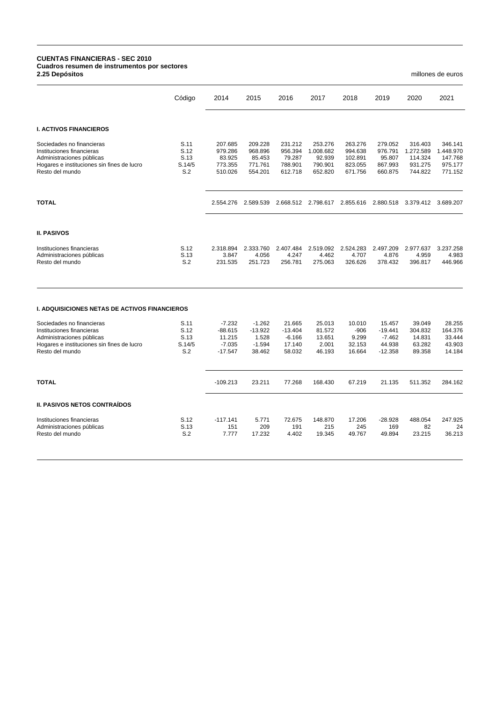## **CUENTAS FINANCIERAS - SEC 2010 Cuadros resumen de instrumentos por sectores 2.25 Depósitos** millones de euros

|                                                                                                                                                      | Código                                | 2014                                                     | 2015                                                 | 2016                                                | 2017                                                 | 2018                                                | 2019                                                   | 2020                                                  | 2021                                                  |
|------------------------------------------------------------------------------------------------------------------------------------------------------|---------------------------------------|----------------------------------------------------------|------------------------------------------------------|-----------------------------------------------------|------------------------------------------------------|-----------------------------------------------------|--------------------------------------------------------|-------------------------------------------------------|-------------------------------------------------------|
| <b>I. ACTIVOS FINANCIEROS</b>                                                                                                                        |                                       |                                                          |                                                      |                                                     |                                                      |                                                     |                                                        |                                                       |                                                       |
| Sociedades no financieras<br>Instituciones financieras<br>Administraciones públicas<br>Hogares e instituciones sin fines de lucro<br>Resto del mundo | S.11<br>S.12<br>S.13<br>S.14/5<br>S.2 | 207.685<br>979.286<br>83.925<br>773.355<br>510.026       | 209.228<br>968.896<br>85.453<br>771.761<br>554.201   | 231.212<br>956.394<br>79.287<br>788.901<br>612.718  | 253.276<br>1.008.682<br>92.939<br>790.901<br>652.820 | 263.276<br>994.638<br>102.891<br>823.055<br>671.756 | 279.052<br>976.791<br>95.807<br>867.993<br>660.875     | 316.403<br>1.272.589<br>114.324<br>931.275<br>744.822 | 346.141<br>1.448.970<br>147.768<br>975.177<br>771.152 |
| <b>TOTAL</b>                                                                                                                                         |                                       | 2.554.276                                                | 2.589.539                                            |                                                     | 2.668.512 2.798.617                                  | 2.855.616                                           | 2.880.518                                              | 3.379.412                                             | 3.689.207                                             |
| <b>II. PASIVOS</b>                                                                                                                                   |                                       |                                                          |                                                      |                                                     |                                                      |                                                     |                                                        |                                                       |                                                       |
| Instituciones financieras<br>Administraciones públicas<br>Resto del mundo                                                                            | S.12<br>S.13<br>S.2                   | 2.318.894<br>3.847<br>231.535                            | 2.333.760<br>4.056<br>251.723                        | 2.407.484<br>4.247<br>256.781                       | 2.519.092<br>4.462<br>275.063                        | 2.524.283<br>4.707<br>326.626                       | 2.497.209<br>4.876<br>378.432                          | 2.977.637<br>4.959<br>396.817                         | 3.237.258<br>4.983<br>446.966                         |
| <b>I. ADQUISICIONES NETAS DE ACTIVOS FINANCIEROS</b>                                                                                                 |                                       |                                                          |                                                      |                                                     |                                                      |                                                     |                                                        |                                                       |                                                       |
| Sociedades no financieras<br>Instituciones financieras<br>Administraciones públicas<br>Hogares e instituciones sin fines de lucro<br>Resto del mundo | S.11<br>S.12<br>S.13<br>S.14/5<br>S.2 | $-7.232$<br>$-88.615$<br>11.215<br>$-7.035$<br>$-17.547$ | $-1.262$<br>$-13.922$<br>1.528<br>$-1.594$<br>38.462 | 21.665<br>$-13.404$<br>$-6.166$<br>17.140<br>58.032 | 25.013<br>81.572<br>13.651<br>2.001<br>46.193        | 10.010<br>-906<br>9.299<br>32.153<br>16.664         | 15.457<br>$-19.441$<br>$-7.462$<br>44.938<br>$-12.358$ | 39.049<br>304.832<br>14.831<br>63.282<br>89.358       | 28.255<br>164.376<br>33.444<br>43.903<br>14.184       |
| <b>TOTAL</b>                                                                                                                                         |                                       | $-109.213$                                               | 23.211                                               | 77.268                                              | 168.430                                              | 67.219                                              | 21.135                                                 | 511.352                                               | 284.162                                               |
| <b>II. PASIVOS NETOS CONTRAÍDOS</b>                                                                                                                  |                                       |                                                          |                                                      |                                                     |                                                      |                                                     |                                                        |                                                       |                                                       |
| Instituciones financieras<br>Administraciones públicas                                                                                               | S.12<br>S.13                          | $-117.141$<br>151                                        | 5.771<br>209                                         | 72.675<br>191                                       | 148.870<br>215                                       | 17.206<br>245                                       | $-28.928$<br>169                                       | 488.054<br>82                                         | 247.925<br>24                                         |

Resto del mundo S.2 7.777 17.232 4.402 19.345 49.767 49.894 23.215 36.213